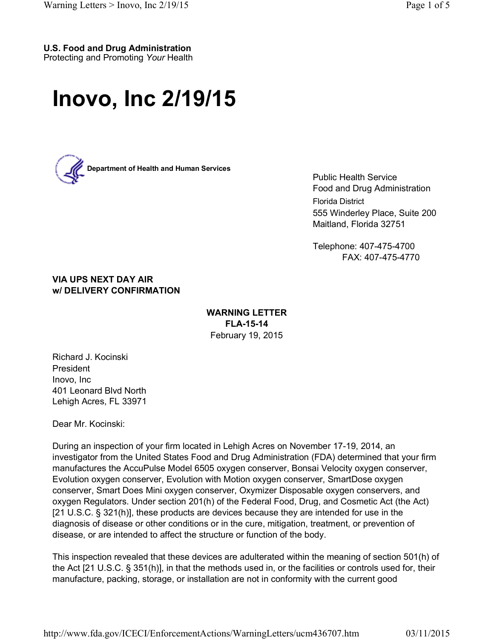## **U.S. Food and Drug Administration**

Protecting and Promoting *Your* Health

## **Inovo, Inc 2/19/15**



Public Health Service Food and Drug Administration Florida District 555 Winderley Place, Suite 200 Maitland, Florida 32751

Telephone: 407-475-4700 FAX: 407-475-4770

**VIA UPS NEXT DAY AIR w/ DELIVERY CONFIRMATION**

## **WARNING LETTER FLA-15-14** February 19, 2015

Richard J. Kocinski President Inovo, Inc 401 Leonard Blvd North Lehigh Acres, FL 33971

Dear Mr. Kocinski:

During an inspection of your firm located in Lehigh Acres on November 17-19, 2014, an investigator from the United States Food and Drug Administration (FDA) determined that your firm manufactures the AccuPulse Model 6505 oxygen conserver, Bonsai Velocity oxygen conserver, Evolution oxygen conserver, Evolution with Motion oxygen conserver, SmartDose oxygen conserver, Smart Does Mini oxygen conserver, Oxymizer Disposable oxygen conservers, and oxygen Regulators. Under section 201(h) of the Federal Food, Drug, and Cosmetic Act (the Act) [21 U.S.C. § 321(h)], these products are devices because they are intended for use in the diagnosis of disease or other conditions or in the cure, mitigation, treatment, or prevention of disease, or are intended to affect the structure or function of the body.

This inspection revealed that these devices are adulterated within the meaning of section 501(h) of the Act [21 U.S.C. § 351(h)], in that the methods used in, or the facilities or controls used for, their manufacture, packing, storage, or installation are not in conformity with the current good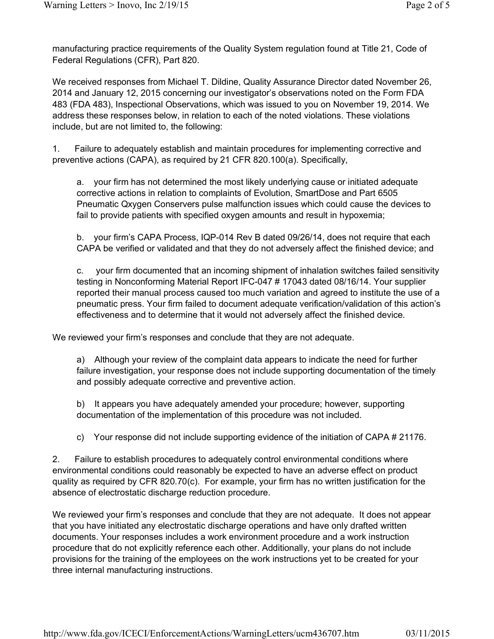manufacturing practice requirements of the Quality System regulation found at Title 21, Code of Federal Regulations (CFR), Part 820.

We received responses from Michael T. Dildine, Quality Assurance Director dated November 26, 2014 and January 12, 2015 concerning our investigator's observations noted on the Form FDA 483 (FDA 483), Inspectional Observations, which was issued to you on November 19, 2014. We address these responses below, in relation to each of the noted violations. These violations include, but are not limited to, the following:

1. Failure to adequately establish and maintain procedures for implementing corrective and preventive actions (CAPA), as required by 21 CFR 820.100(a). Specifically,

a. your firm has not determined the most likely underlying cause or initiated adequate corrective actions in relation to complaints of Evolution, SmartDose and Part 6505 Pneumatic Qxygen Conservers pulse malfunction issues which could cause the devices to fail to provide patients with specified oxygen amounts and result in hypoxemia;

b. your firm's CAPA Process, IQP-014 Rev B dated 09/26/14, does not require that each CAPA be verified or validated and that they do not adversely affect the finished device; and

c. your firm documented that an incoming shipment of inhalation switches failed sensitivity testing in Nonconforming Material Report IFC-047 # 17043 dated 08/16/14. Your supplier reported their manual process caused too much variation and agreed to institute the use of a pneumatic press. Your firm failed to document adequate verification/validation of this action's effectiveness and to determine that it would not adversely affect the finished device.

We reviewed your firm's responses and conclude that they are not adequate.

a) Although your review of the complaint data appears to indicate the need for further failure investigation, your response does not include supporting documentation of the timely and possibly adequate corrective and preventive action.

b) It appears you have adequately amended your procedure; however, supporting documentation of the implementation of this procedure was not included.

c) Your response did not include supporting evidence of the initiation of CAPA # 21176.

2. Failure to establish procedures to adequately control environmental conditions where environmental conditions could reasonably be expected to have an adverse effect on product quality as required by CFR 820.70(c). For example, your firm has no written justification for the absence of electrostatic discharge reduction procedure.

We reviewed your firm's responses and conclude that they are not adequate. It does not appear that you have initiated any electrostatic discharge operations and have only drafted written documents. Your responses includes a work environment procedure and a work instruction procedure that do not explicitly reference each other. Additionally, your plans do not include provisions for the training of the employees on the work instructions yet to be created for your three internal manufacturing instructions.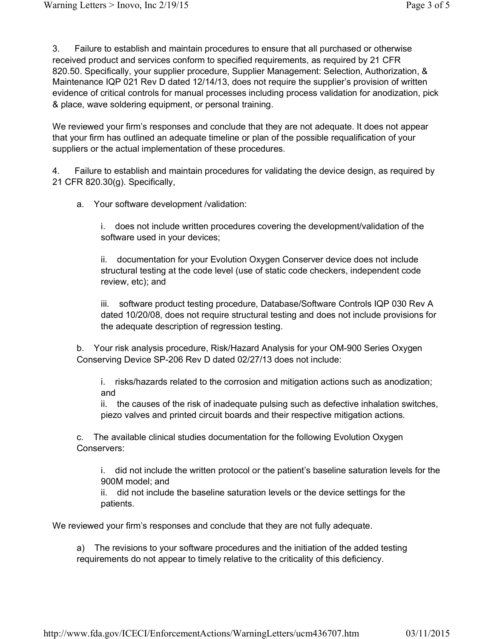3. Failure to establish and maintain procedures to ensure that all purchased or otherwise received product and services conform to specified requirements, as required by 21 CFR 820.50. Specifically, your supplier procedure, Supplier Management: Selection, Authorization, & Maintenance IQP 021 Rev D dated 12/14/13, does not require the supplier's provision of written evidence of critical controls for manual processes including process validation for anodization, pick & place, wave soldering equipment, or personal training.

We reviewed your firm's responses and conclude that they are not adequate. It does not appear that your firm has outlined an adequate timeline or plan of the possible requalification of your suppliers or the actual implementation of these procedures.

4. Failure to establish and maintain procedures for validating the device design, as required by 21 CFR 820.30(g). Specifically,

a. Your software development /validation:

i. does not include written procedures covering the development/validation of the software used in your devices;

ii. documentation for your Evolution Oxygen Conserver device does not include structural testing at the code level (use of static code checkers, independent code review, etc); and

iii. software product testing procedure, Database/Software Controls IQP 030 Rev A dated 10/20/08, does not require structural testing and does not include provisions for the adequate description of regression testing.

b. Your risk analysis procedure, Risk/Hazard Analysis for your OM-900 Series Oxygen Conserving Device SP-206 Rev D dated 02/27/13 does not include:

i. risks/hazards related to the corrosion and mitigation actions such as anodization; and

ii. the causes of the risk of inadequate pulsing such as defective inhalation switches, piezo valves and printed circuit boards and their respective mitigation actions.

c. The available clinical studies documentation for the following Evolution Oxygen Conservers:

i. did not include the written protocol or the patient's baseline saturation levels for the 900M model; and

ii. did not include the baseline saturation levels or the device settings for the patients.

We reviewed your firm's responses and conclude that they are not fully adequate.

a) The revisions to your software procedures and the initiation of the added testing requirements do not appear to timely relative to the criticality of this deficiency.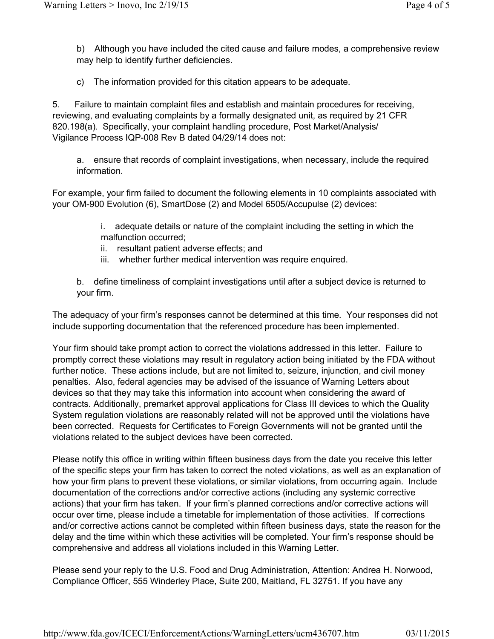b) Although you have included the cited cause and failure modes, a comprehensive review may help to identify further deficiencies.

c) The information provided for this citation appears to be adequate.

5. Failure to maintain complaint files and establish and maintain procedures for receiving, reviewing, and evaluating complaints by a formally designated unit, as required by 21 CFR 820.198(a). Specifically, your complaint handling procedure, Post Market/Analysis/ Vigilance Process IQP-008 Rev B dated 04/29/14 does not:

a. ensure that records of complaint investigations, when necessary, include the required information.

For example, your firm failed to document the following elements in 10 complaints associated with your OM-900 Evolution (6), SmartDose (2) and Model 6505/Accupulse (2) devices:

> i. adequate details or nature of the complaint including the setting in which the malfunction occurred;

- ii. resultant patient adverse effects; and
- iii. whether further medical intervention was require enquired.

b. define timeliness of complaint investigations until after a subject device is returned to your firm.

The adequacy of your firm's responses cannot be determined at this time. Your responses did not include supporting documentation that the referenced procedure has been implemented.

Your firm should take prompt action to correct the violations addressed in this letter. Failure to promptly correct these violations may result in regulatory action being initiated by the FDA without further notice. These actions include, but are not limited to, seizure, injunction, and civil money penalties. Also, federal agencies may be advised of the issuance of Warning Letters about devices so that they may take this information into account when considering the award of contracts. Additionally, premarket approval applications for Class III devices to which the Quality System regulation violations are reasonably related will not be approved until the violations have been corrected. Requests for Certificates to Foreign Governments will not be granted until the violations related to the subject devices have been corrected.

Please notify this office in writing within fifteen business days from the date you receive this letter of the specific steps your firm has taken to correct the noted violations, as well as an explanation of how your firm plans to prevent these violations, or similar violations, from occurring again. Include documentation of the corrections and/or corrective actions (including any systemic corrective actions) that your firm has taken. If your firm's planned corrections and/or corrective actions will occur over time, please include a timetable for implementation of those activities. If corrections and/or corrective actions cannot be completed within fifteen business days, state the reason for the delay and the time within which these activities will be completed. Your firm's response should be comprehensive and address all violations included in this Warning Letter.

Please send your reply to the U.S. Food and Drug Administration, Attention: Andrea H. Norwood, Compliance Officer, 555 Winderley Place, Suite 200, Maitland, FL 32751. If you have any